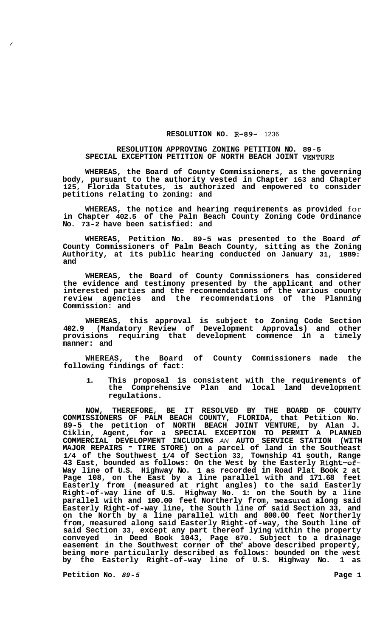## **RESOLUTION NO. R-89-** 1236

## **RESOLUTION APPROVING ZONING PETITION NO. 89-5 SPECIAL EXCEPTION PETITION OF NORTH BEACH JOINT VENTURE**

**WHEREAS, the Board of County Commissioners, as the governing body, pursuant to the authority vested in Chapter 163 and Chapter 125, Florida Statutes, is authorized and empowered to consider petitions relating to zoning: and** 

**WHEREAS, the notice and hearing requirements as provided** for **in Chapter 402.5 of the Palm Beach County Zoning Code Ordinance No. 73-2 have been satisfied: and** 

**WHEREAS, Petition No. 89-5 was presented to the Board** *of*  **County Commissioners of Palm Beach County, sitting as the Zoning Authority, at its public hearing conducted on January 31, 1989: and** 

**WHEREAS, the Board of County Commissioners has considered the evidence and testimony presented by the applicant and other interested parties and the recommendations of the various county review agencies and the recommendations of the Planning Commission: and** 

**WHEREAS, this approval is subject to Zoning Code Section 402.9 (Mandatory Review of Development Approvals) and other provisions requiring that development commence in a timely manner: and** 

**WHEREAS, the Board of County Commissioners made the following findings of fact:** 

**1. This proposal is consistent with the requirements of the Comprehensive Plan and local land development regulations.** 

**NOW, THEREFORE, BE IT RESOLVED BY THE BOARD OF COUNTY COMMISSIONERS OF PALM BEACH COUNTY, FLORIDA, that Petition No. 89-5 the petition of NORTH BEACH JOINT VENTURE, by Alan J. Ciklin, Agent, for a SPECIAL EXCEPTION TO PERMIT A PLANNED COMMERCIAL DEVELOPMENT INCLUDING** *AN* **AUTO SERVICE STATION (WITH MAJOR REPAIRS** - **TIRE STORE) on a parcel of land in the Southeast 1/4 of the Southwest 1/4 of Section 33, Township 41 south, Range 43 East, bounded as follows: On the West by the Easterly Right-of-Way line of U.S. Highway No. 1 as recorded in Road Plat Book 2 at Page 108, on the East by a line parallel with and 171.68 feet Easterly from (measured at right angles) to the said Easterly Right-of-way line of U.S. Highway No. 1: on the South by a line parallel with and 100.00 feet Northerly from, measured along said Easterly Right-of-way line, the South line** *of* **said Section 33, and on the North by a line parallel with and 800.00 feet Northerly from, measured along said Easterly Right-of-way, the South line of said Section 33, except any part thereof lying within the property conveyed in Deed Book 1043, Page 670. Subject to a drainage easement in the Southwest corner of the" above described property, being more particularly described as follows: bounded on the west by the Easterly Right-of-way line of U. S. Highway No. 1 as** 

**Petition No.** *89-5* **Page 1**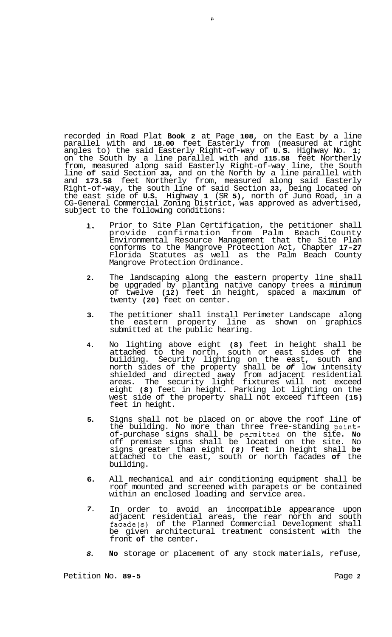recorded in Road Plat **Book 2** at Page **108,** on the East by a line parallel with and **18.00** feet Easterly from (measured at right angles to) the said Easterly Right-of-way of **U. S.** Highway No. **1;**  on the South by a line parallel with and **115.58** feet Northerly from, measured along said Easterly Right-of-way line, the South line **of** said Section **33,** and on the North by a line parallel with and **173.58** feet Northerly from, measured along said Easterly Right-of-way, the south line of said Section **33,** being located on the east side of **U.S.** Highway **1** (SR **5),** north of Juno Road, in a CG-General Commercial Zoning District, was approved as advertised, subject to the following conditions:

 $\mathbf{r}$ 

- **1.**  Prior to Site Plan Certification, the petitioner shall<br>provide confirmation from Palm Beach County provide confirmation from Palm Beach County Environmental Resource Management that the Site Plan conforms to the Mangrove Protection Act, Chapter **17-27**  Florida Statutes as well as the Palm Beach County Mangrove Protection Ordinance.
- **2.**  The landscaping along the eastern property line shall be upgraded by planting native canopy trees a minimum of twelve **(12)** feet in height, spaced a maximum of twenty **(20)** feet on center.
- **3.**  The petitioner shall install Perimeter Landscape along eastern property line as shown on graphics submitted at the public hearing.
- **4.**  No lighting above eight **(8)** feet in height shall be attached to the north, south or east sides of the building. Security lighting on the east, south and north sides of the property shall be *of* low intensity shielded and directed away from adjacent residential areas. The security light fixtures will not exceed eight **(8)** feet in height. Parking lot lighting on the west side of the property shall not exceed fifteen **(15)**  feet in height.
- **5.**  Signs shall not be placed on or above the roof line of the building. No more than three free-standing pointof-purchase signs shall be permitted on the site. **No**  off premise signs shall be located on the site. No signs greater than eight *(8)* feet in height shall **be**  attached to the east, south or north facades **of** the building.
- **6.**  All mechanical and air conditioning equipment shall be roof mounted and screened with parapets or be contained within an enclosed loading and service area.
- *7.*  In order to avoid an incompatible appearance upon adjacent residential areas, the rear north and south facade(s) of the Planned Commercial Development shall be given architectural treatment consistent with the front **of** the center.
- *8.*  **No** storage or placement of any stock materials, refuse,

Petition No. **89-5** Page **2**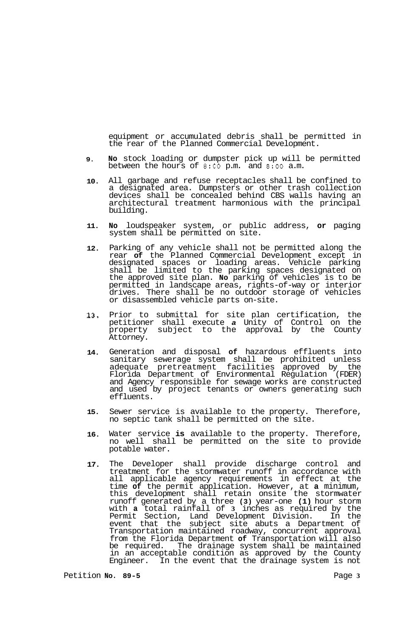equipment or accumulated debris shall be permitted in the rear of the Planned Commercial Development.

- **9. No** stock loading or dumpster pick up will be permitted between the hours of **8:OO** p.m. and **8:OO** a.m.
- **10.**  All garbage and refuse receptacles shall be confined to a designated area. Dumpsters or other trash collection devices shall be concealed behind CBS walls having an architectural treatment harmonious with the principal building.
- **11. No** loudspeaker system, or public address, **or** paging system shall be permitted on site.
- **12.**  Parking of any vehicle shall not be permitted along the rear **of** the Planned Commercial Development except in designated spaces or loading areas. Vehicle parking shall be limited to the parking spaces designated on the approved site plan. **No** parking of vehicles is to be permitted in landscape areas, rights-of-way or interior drives. There shall be no outdoor storage of vehicles or disassembled vehicle parts on-site.
- **13.**  Prior to submittal for site plan certification, the petitioner shall execute *a* Unity of Control on the property subject to the approval by the County Attorney.
- **14.**  Generation and disposal **of** hazardous effluents into sanitary sewerage system shall be prohibited unless adequate pretreatment facilities approved by the Florida Department of Environmental Regulation (FDER) and Agency responsible for sewage works are constructed and used by project tenants or owners generating such effluents.
- **15.**  Sewer service is available to the property. Therefore, no septic tank shall be permitted on the site.
- **16.**  Water service **is** available to the property. Therefore, no well shall be permitted on the site to provide potable water.
- **17.**  The Developer shall provide discharge control and treatment for the stormwater runoff in accordance with all applicable agency requirements in effect at the time **of** the permit application. However, at **a** minimum, this development shall retain onsite the stormwater runoff generated by a three **(3)** year-one **(1)** hour storm with **a** total rainfall of **3** inches as required by the Permit Section, Land Development Division. In the event that the subject site abuts a Department of Transportation maintained roadway, concurrent approval from the Florida Department **of** Transportation will also be required. The drainage system shall be maintained in an acceptable condition as approved by the County Engineer. In the event that the drainage system is not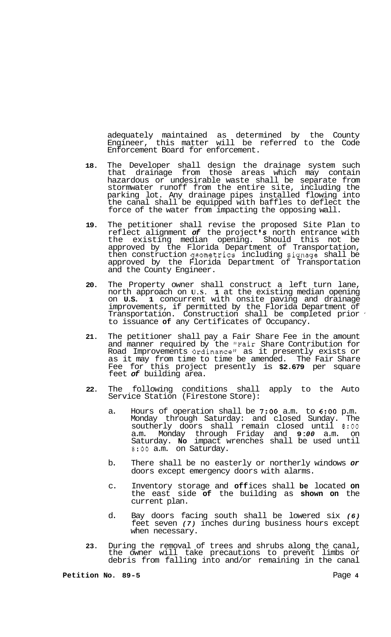adequately maintained as determined by the County Engineer, this matter will be referred to the Code Enforcement Board for enforcement.

- **18.** The Developer shall design the drainage system such that drainage from those areas which may contain hazardous or undesirable waste shall be separate from stormwater runoff from the entire site, including the parking lot. Any drainage pipes installed flowing into the canal shall be equipped with baffles to deflect the force of the water from impacting the opposing wall.
- **19.** The petitioner shall revise the proposed Site Plan to reflect alignment *of* the project *s* north entrance with the existing median opening. Should this not be approved by the Florida Department of Transportation, then construction geometrics including signage shall be approved by the Florida Department of Transportation and the County Engineer.
- **20.** The Property owner shall construct a left turn lane, north approach on **U.S. 1** at the existing median opening on **U.S. 1** concurrent with onsite paving and drainage improvements, if permitted by the Florida Department of Transportation. Construction shall be completed prior ' to issuance **of** any Certificates of Occupancy.
- **21.** The petitioner shall pay a Fair Share Fee in the amount and manner required by the "Fair Share Contribution for Road Improvements Ordinance" as it presently exists or as it may from time to time be amended. The Fair Share Fee for this project presently is **\$2.679** per square feet *of* building area.
- **22.** The following conditions shall apply to the Auto Service Station (Firestone Store):
	- a. Hours of operation shall be *7:OO* a.m. to **6:OO** p.m. Monday through Saturday: and closed Sunday. The southerly doors shall remain closed until *8:OO*  a.m. Monday through Friday and **9** : *00* a.m. on Saturday. **No** impact wrenches shall be used until **8:OO** a.m. on Saturday.
	- b. There shall be no easterly or northerly windows *or*  doors except emergency doors with alarms.
	- c. Inventory storage and **off** ices shall **be** located **on**  the east side **of** the building as **shown on** the current plan.
	- d. Bay doors facing south shall be lowered six *(6)*  feet seven *(7)* inches during business hours except when necessary.
- **23.** During the removal of trees and shrubs along the canal, the owner will take precautions to prevent limbs or debris from falling into and/or remaining in the canal

**Petition No. 89-5** Page **4**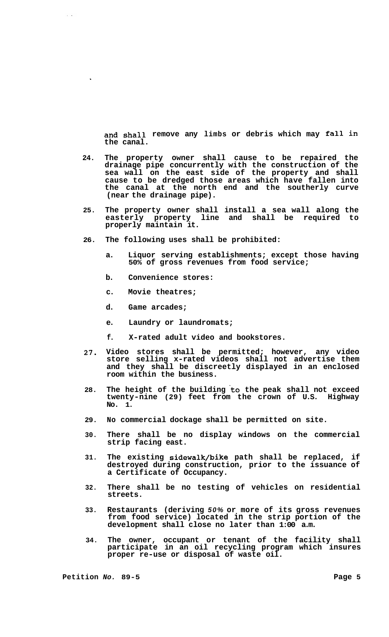**and shall remove any limbs or debris which may fall in the canal.** 

- **24. The property owner shall cause to be repaired the drainage pipe concurrently with the construction of the sea wall on the east side of the property and shall cause to be dredged those areas which have fallen into the canal at the north end and the southerly curve (near the drainage pipe).**
- **25. The property owner shall install a sea wall along the easterly property line and shall be required to properly maintain it.**
- **26. The following uses shall be prohibited:** 
	- **a. Liquor serving establishments; except those having 50% of gross revenues from food service;**
	- **b. Convenience stores:**
	- **c. Movie theatres;**
	- **d. Game arcades;**

 $\lambda=4$ 

- **e. Laundry or laundromats;**
- **f. X-rated adult video and bookstores.**
- **27. Video stores shall be permitted; however, any video store selling x-rated videos shall not advertise them and they shall be discreetly displayed in an enclosed room within the business.**
- 28. The height of the building to the peak shall not exceed **twenty-nine (29) feet from the crown of U.S. Highway No. 1.**
- **29. No commercial dockage shall be permitted on site.**
- **30. There shall be no display windows on the commercial strip facing east.**
- **31. The existing sidewalk/bike path shall be replaced, if destroyed during construction, prior to the issuance of a Certificate of Occupancy.**
- **32. There shall be no testing of vehicles on residential streets.**
- **33. Restaurants (deriving** *50%* **or more of its gross revenues from food service) located in the strip portion of the development shall close no later than 1:00 a.m.**
- **34. The owner, occupant or tenant of the facility shall participate in an oil recycling program which insures proper re-use or disposal of waste oil.**